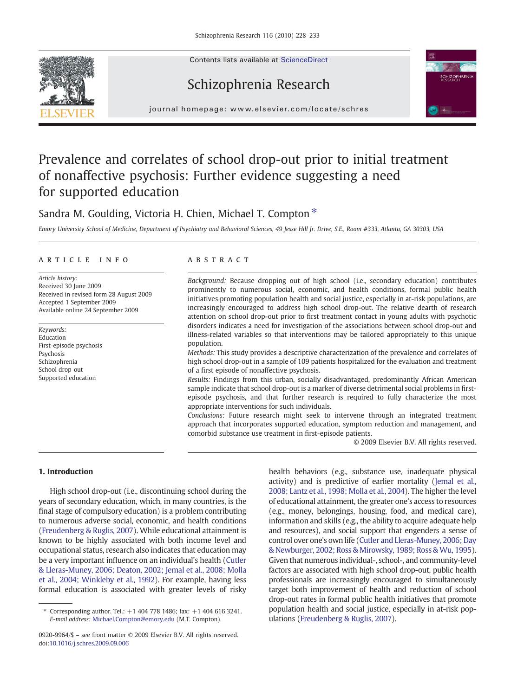Contents lists available at ScienceDirect



# Schizophrenia Research



j o u r n a l h om e p a g e : www. e l s ev i e r. c om / l o c a t e / s c h r e s

# Prevalence and correlates of school drop-out prior to initial treatment of nonaffective psychosis: Further evidence suggesting a need for supported education

# Sandra M. Goulding, Victoria H. Chien, Michael T. Compton  $*$

Emory University School of Medicine, Department of Psychiatry and Behavioral Sciences, 49 Jesse Hill Jr. Drive, S.E., Room #333, Atlanta, GA 30303, USA

# article info abstract

Article history: Received 30 June 2009 Received in revised form 28 August 2009 Accepted 1 September 2009 Available online 24 September 2009

Keywords: Education First-episode psychosis Psychosis Schizophrenia School drop-out Supported education

Background: Because dropping out of high school (i.e., secondary education) contributes prominently to numerous social, economic, and health conditions, formal public health initiatives promoting population health and social justice, especially in at-risk populations, are increasingly encouraged to address high school drop-out. The relative dearth of research attention on school drop-out prior to first treatment contact in young adults with psychotic disorders indicates a need for investigation of the associations between school drop-out and illness-related variables so that interventions may be tailored appropriately to this unique population.

Methods: This study provides a descriptive characterization of the prevalence and correlates of high school drop-out in a sample of 109 patients hospitalized for the evaluation and treatment of a first episode of nonaffective psychosis.

Results: Findings from this urban, socially disadvantaged, predominantly African American sample indicate that school drop-out is a marker of diverse detrimental social problems in firstepisode psychosis, and that further research is required to fully characterize the most appropriate interventions for such individuals.

Conclusions: Future research might seek to intervene through an integrated treatment approach that incorporates supported education, symptom reduction and management, and comorbid substance use treatment in first-episode patients.

© 2009 Elsevier B.V. All rights reserved.

# 1. Introduction

High school drop-out (i.e., discontinuing school during the years of secondary education, which, in many countries, is the final stage of compulsory education) is a problem contributing to numerous adverse social, economic, and health conditions ([Freudenberg & Ruglis, 2007\)](#page-4-0). While educational attainment is known to be highly associated with both income level and occupational status, research also indicates that education may be a very important influence on an individual's health ([Cutler](#page-4-0) [& Lleras-Muney, 2006; Deaton, 2002; Jemal et al., 2008; Molla](#page-4-0) [et al., 2004; Winkleby et al., 1992\)](#page-4-0). For example, having less formal education is associated with greater levels of risky health behaviors (e.g., substance use, inadequate physical activity) and is predictive of earlier mortality [\(Jemal et al.,](#page-4-0) [2008; Lantz et al., 1998; Molla et al., 2004\)](#page-4-0). The higher the level of educational attainment, the greater one's access to resources (e.g., money, belongings, housing, food, and medical care), information and skills (e.g., the ability to acquire adequate help and resources), and social support that engenders a sense of control over one's own life ([Cutler and Lleras-Muney, 2006; Day](#page-4-0) [& Newburger, 2002; Ross & Mirowsky, 1989; Ross & Wu, 1995](#page-4-0)). Given that numerous individual-, school-, and community-level factors are associated with high school drop-out, public health professionals are increasingly encouraged to simultaneously target both improvement of health and reduction of school drop-out rates in formal public health initiatives that promote population health and social justice, especially in at-risk populations [\(Freudenberg & Ruglis, 2007](#page-4-0)).

<sup>⁎</sup> Corresponding author. Tel.: +1 404 778 1486; fax: +1 404 616 3241. E-mail address: [Michael.Compton@emory.edu](mailto:Michael.Compton@emory.edu) (M.T. Compton).

<sup>0920-9964/\$</sup> – see front matter © 2009 Elsevier B.V. All rights reserved. doi:[10.1016/j.schres.2009.09.006](http://dx.doi.org/10.1016/j.schres.2009.09.006)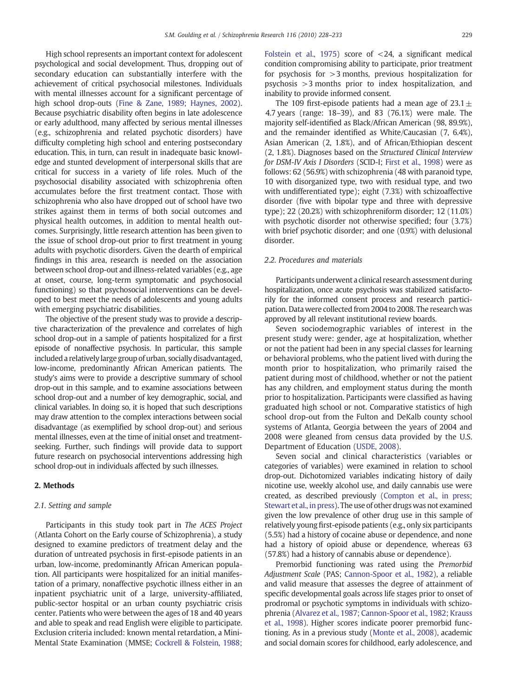High school represents an important context for adolescent psychological and social development. Thus, dropping out of secondary education can substantially interfere with the achievement of critical psychosocial milestones. Individuals with mental illnesses account for a significant percentage of high school drop-outs ([Fine & Zane, 1989; Haynes, 2002\)](#page-4-0). Because psychiatric disability often begins in late adolescence or early adulthood, many affected by serious mental illnesses (e.g., schizophrenia and related psychotic disorders) have difficulty completing high school and entering postsecondary education. This, in turn, can result in inadequate basic knowledge and stunted development of interpersonal skills that are critical for success in a variety of life roles. Much of the psychosocial disability associated with schizophrenia often accumulates before the first treatment contact. Those with schizophrenia who also have dropped out of school have two strikes against them in terms of both social outcomes and physical health outcomes, in addition to mental health outcomes. Surprisingly, little research attention has been given to the issue of school drop-out prior to first treatment in young adults with psychotic disorders. Given the dearth of empirical findings in this area, research is needed on the association between school drop-out and illness-related variables (e.g., age at onset, course, long-term symptomatic and psychosocial functioning) so that psychosocial interventions can be developed to best meet the needs of adolescents and young adults with emerging psychiatric disabilities.

The objective of the present study was to provide a descriptive characterization of the prevalence and correlates of high school drop-out in a sample of patients hospitalized for a first episode of nonaffective psychosis. In particular, this sample included a relatively large group of urban, socially disadvantaged, low-income, predominantly African American patients. The study's aims were to provide a descriptive summary of school drop-out in this sample, and to examine associations between school drop-out and a number of key demographic, social, and clinical variables. In doing so, it is hoped that such descriptions may draw attention to the complex interactions between social disadvantage (as exemplified by school drop-out) and serious mental illnesses, even at the time of initial onset and treatmentseeking. Further, such findings will provide data to support future research on psychosocial interventions addressing high school drop-out in individuals affected by such illnesses.

# 2. Methods

# 2.1. Setting and sample

Participants in this study took part in The ACES Project (Atlanta Cohort on the Early course of Schizophrenia), a study designed to examine predictors of treatment delay and the duration of untreated psychosis in first-episode patients in an urban, low-income, predominantly African American population. All participants were hospitalized for an initial manifestation of a primary, nonaffective psychotic illness either in an inpatient psychiatric unit of a large, university-affiliated, public-sector hospital or an urban county psychiatric crisis center. Patients who were between the ages of 18 and 40 years and able to speak and read English were eligible to participate. Exclusion criteria included: known mental retardation, a Mini-Mental State Examination (MMSE; [Cockrell & Folstein, 1988;](#page-4-0)

[Folstein et al., 1975\)](#page-4-0) score of  $<$ 24, a significant medical condition compromising ability to participate, prior treatment for psychosis for >3 months, previous hospitalization for psychosis >3 months prior to index hospitalization, and inability to provide informed consent.

The 109 first-episode patients had a mean age of  $23.1 \pm$ 4.7 years (range: 18–39), and 83 (76.1%) were male. The majority self-identified as Black/African American (98, 89.9%), and the remainder identified as White/Caucasian (7, 6.4%), Asian American (2, 1.8%), and of African/Ethiopian descent (2, 1.8%). Diagnoses based on the Structured Clinical Interview for DSM-IV Axis I Disorders (SCID-I; [First et al., 1998\)](#page-4-0) were as follows: 62 (56.9%) with schizophrenia (48 with paranoid type, 10 with disorganized type, two with residual type, and two with undifferentiated type); eight (7.3%) with schizoaffective disorder (five with bipolar type and three with depressive type); 22 (20.2%) with schizophreniform disorder; 12 (11.0%) with psychotic disorder not otherwise specified; four (3.7%) with brief psychotic disorder; and one (0.9%) with delusional disorder.

#### 2.2. Procedures and materials

Participants underwent a clinical research assessment during hospitalization, once acute psychosis was stabilized satisfactorily for the informed consent process and research participation. Data were collected from 2004 to 2008. The research was approved by all relevant institutional review boards.

Seven sociodemographic variables of interest in the present study were: gender, age at hospitalization, whether or not the patient had been in any special classes for learning or behavioral problems, who the patient lived with during the month prior to hospitalization, who primarily raised the patient during most of childhood, whether or not the patient has any children, and employment status during the month prior to hospitalization. Participants were classified as having graduated high school or not. Comparative statistics of high school drop-out from the Fulton and DeKalb county school systems of Atlanta, Georgia between the years of 2004 and 2008 were gleaned from census data provided by the U.S. Department of Education ([USDE, 2008\)](#page-5-0).

Seven social and clinical characteristics (variables or categories of variables) were examined in relation to school drop-out. Dichotomized variables indicating history of daily nicotine use, weekly alcohol use, and daily cannabis use were created, as described previously ([Compton et al., in press;](#page-4-0) [Stewart et al., in press](#page-4-0)). The use of other drugs was not examined given the low prevalence of other drug use in this sample of relatively young first-episode patients (e.g., only six participants (5.5%) had a history of cocaine abuse or dependence, and none had a history of opioid abuse or dependence, whereas 63 (57.8%) had a history of cannabis abuse or dependence).

Premorbid functioning was rated using the Premorbid Adjustment Scale (PAS; [Cannon-Spoor et al., 1982](#page-4-0)), a reliable and valid measure that assesses the degree of attainment of specific developmental goals across life stages prior to onset of prodromal or psychotic symptoms in individuals with schizophrenia ([Alvarez et al., 1987; Cannon-Spoor et al., 1982; Krauss](#page-4-0) [et al., 1998](#page-4-0)). Higher scores indicate poorer premorbid functioning. As in a previous study [\(Monte et al., 2008](#page-4-0)), academic and social domain scores for childhood, early adolescence, and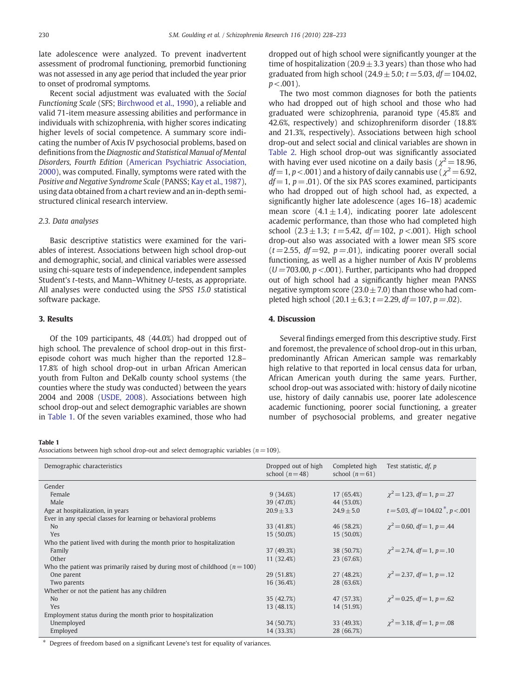late adolescence were analyzed. To prevent inadvertent assessment of prodromal functioning, premorbid functioning was not assessed in any age period that included the year prior to onset of prodromal symptoms.

Recent social adjustment was evaluated with the Social Functioning Scale (SFS; [Birchwood et al., 1990\)](#page-4-0), a reliable and valid 71-item measure assessing abilities and performance in individuals with schizophrenia, with higher scores indicating higher levels of social competence. A summary score indicating the number of Axis IV psychosocial problems, based on definitions from the Diagnostic and Statistical Manual of Mental Disorders, Fourth Edition ([American Psychiatric Association,](#page-4-0) [2000](#page-4-0)), was computed. Finally, symptoms were rated with the Positive and Negative Syndrome Scale (PANSS; [Kay et al., 1987](#page-4-0)), using data obtained from a chart review and an in-depth semistructured clinical research interview.

## 2.3. Data analyses

Basic descriptive statistics were examined for the variables of interest. Associations between high school drop-out and demographic, social, and clinical variables were assessed using chi-square tests of independence, independent samples Student's t-tests, and Mann–Whitney U-tests, as appropriate. All analyses were conducted using the SPSS 15.0 statistical software package.

# 3. Results

Of the 109 participants, 48 (44.0%) had dropped out of high school. The prevalence of school drop-out in this firstepisode cohort was much higher than the reported 12.8– 17.8% of high school drop-out in urban African American youth from Fulton and DeKalb county school systems (the counties where the study was conducted) between the years 2004 and 2008 ([USDE, 2008\)](#page-5-0). Associations between high school drop-out and select demographic variables are shown in Table 1. Of the seven variables examined, those who had

#### Table 1

Associations between high school drop-out and select demographic variables ( $n=109$ ).

| Demographic characteristics                                                    | Dropped out of high<br>school $(n=48)$ | Completed high<br>school $(n=61)$ | Test statistic, df, p                   |
|--------------------------------------------------------------------------------|----------------------------------------|-----------------------------------|-----------------------------------------|
| Gender                                                                         |                                        |                                   |                                         |
| Female                                                                         | 9(34.6%)                               | 17 (65.4%)                        | $\chi^2$ = 1.23, df = 1, p = .27        |
| Male                                                                           | 39 (47.0%)                             | 44 (53.0%)                        |                                         |
| Age at hospitalization, in years                                               | $20.9 \pm 3.3$                         | $24.9 \pm 5.0$                    | $t = 5.03$ , $df = 104.02$ , $p < .001$ |
| Ever in any special classes for learning or behavioral problems                |                                        |                                   |                                         |
| N <sub>o</sub>                                                                 | 33 (41.8%)                             | 46 (58.2%)                        | $\chi^2$ = 0.60, df = 1, p = .44        |
| <b>Yes</b>                                                                     | 15 (50.0%)                             | 15 (50.0%)                        |                                         |
| Who the patient lived with during the month prior to hospitalization           |                                        |                                   |                                         |
| Family                                                                         | 37 (49.3%)                             | 38 (50.7%)                        | $\chi^2$ = 2.74, df = 1, p = .10        |
| Other                                                                          | 11 (32.4%)                             | 23 (67.6%)                        |                                         |
| Who the patient was primarily raised by during most of childhood ( $n = 100$ ) |                                        |                                   |                                         |
| One parent                                                                     | 29 (51.8%)                             | 27 (48.2%)                        | $\chi^2$ = 2.37, df = 1, p = .12        |
| Two parents                                                                    | 16 (36.4%)                             | 28 (63.6%)                        |                                         |
| Whether or not the patient has any children                                    |                                        |                                   |                                         |
| N <sub>o</sub>                                                                 | 35 (42.7%)                             | 47 (57.3%)                        | $\chi^2$ = 0.25, df = 1, p = .62        |
| <b>Yes</b>                                                                     | 13 (48.1%)                             | 14 (51.9%)                        |                                         |
| Employment status during the month prior to hospitalization                    |                                        |                                   |                                         |
| Unemployed                                                                     | 34 (50.7%)                             | 33 (49.3%)                        | $\chi^2$ = 3.18, df = 1, p = .08        |
| Employed                                                                       | 14 (33.3%)                             | 28 (66.7%)                        |                                         |

Degrees of freedom based on a significant Levene's test for equality of variances.

dropped out of high school were significantly younger at the time of hospitalization (20.9 $\pm$ 3.3 years) than those who had graduated from high school (24.9  $\pm$  5.0;  $t = 5.03$ ,  $df = 104.02$ ,  $p < .001$ ).

The two most common diagnoses for both the patients who had dropped out of high school and those who had graduated were schizophrenia, paranoid type (45.8% and 42.6%, respectively) and schizophreniform disorder (18.8% and 21.3%, respectively). Associations between high school drop-out and select social and clinical variables are shown in [Table 2](#page-3-0). High school drop-out was significantly associated with having ever used nicotine on a daily basis ( $\chi^2$  = 18.96,  $df = 1$ ,  $p < .001$ ) and a history of daily cannabis use ( $\chi^2 = 6.92$ ,  $df = 1$ ,  $p = .01$ ). Of the six PAS scores examined, participants who had dropped out of high school had, as expected, a significantly higher late adolescence (ages 16–18) academic mean score  $(4.1 + 1.4)$ , indicating poorer late adolescent academic performance, than those who had completed high school  $(2.3 \pm 1.3; t = 5.42, df = 102, p < .001)$ . High school drop-out also was associated with a lower mean SFS score  $(t=2.55, df=92, p=.01)$ , indicating poorer overall social functioning, as well as a higher number of Axis IV problems  $(U=703.00, p<.001)$ . Further, participants who had dropped out of high school had a significantly higher mean PANSS negative symptom score (23.0 $\pm$ 7.0) than those who had completed high school  $(20.1 \pm 6.3; t=2.29, df=107, p=.02)$ .

# 4. Discussion

Several findings emerged from this descriptive study. First and foremost, the prevalence of school drop-out in this urban, predominantly African American sample was remarkably high relative to that reported in local census data for urban, African American youth during the same years. Further, school drop-out was associated with: history of daily nicotine use, history of daily cannabis use, poorer late adolescence academic functioning, poorer social functioning, a greater number of psychosocial problems, and greater negative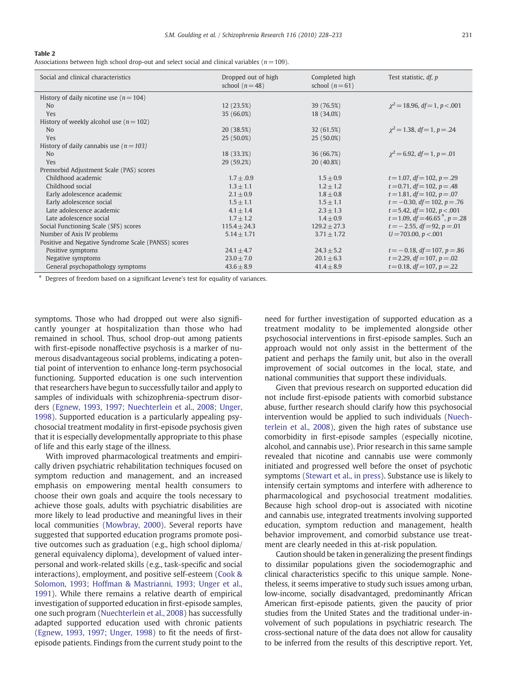### <span id="page-3-0"></span>Table 2

Associations between high school drop-out and select social and clinical variables ( $n=109$ ).

| Social and clinical characteristics                 | Dropped out of high<br>school $(n=48)$ | Completed high<br>school $(n=61)$ | Test statistic, df, p                 |
|-----------------------------------------------------|----------------------------------------|-----------------------------------|---------------------------------------|
| History of daily nicotine use $(n=104)$             |                                        |                                   |                                       |
| N <sub>0</sub>                                      | 12 (23.5%)                             | 39 (76.5%)                        | $\chi^2$ = 18.96, df = 1, p < 001     |
| Yes                                                 | 35 (66.0%)                             | 18 (34.0%)                        |                                       |
| History of weekly alcohol use $(n = 102)$           |                                        |                                   |                                       |
| N <sub>0</sub>                                      | 20 (38.5%)                             | 32 (61.5%)                        | $\chi^2$ = 1.38, df = 1, p = .24      |
| Yes                                                 | 25 (50.0%)                             | 25 (50.0%)                        |                                       |
| History of daily cannabis use $(n = 103)$           |                                        |                                   |                                       |
| N <sub>0</sub>                                      | 18 (33.3%)                             | 36 (66.7%)                        | $\chi^2$ = 6.92, df = 1, p = .01      |
| Yes                                                 | 29 (59.2%)                             | 20 (40.8%)                        |                                       |
| Premorbid Adjustment Scale (PAS) scores             |                                        |                                   |                                       |
| Childhood academic                                  | $1.7 + .0.9$                           | $1.5 + 0.9$                       | $t = 1.07$ , $df = 102$ , $p = .29$   |
| Childhood social                                    | $1.3 + 1.1$                            | $1.2 + 1.2$                       | $t = 0.71$ , $df = 102$ , $p = .48$   |
| Early adolescence academic                          | $2.1 \pm 0.9$                          | $1.8 \pm 0.8$                     | $t = 1.81$ , $df = 102$ , $p = .07$   |
| Early adolescence social                            | $1.5 \pm 1.1$                          | $1.5 \pm 1.1$                     | $t = -0.30$ , $df = 102$ , $p = .76$  |
| Late adolescence academic                           | $4.1 \pm 1.4$                          | $2.3 \pm 1.3$                     | $t = 5.42$ , $df = 102$ , $p < .001$  |
| Late adolescence social                             | $1.7 + 1.2$                            | $1.4 + 0.9$                       | $t = 1.09$ , $df = 46.65$ , $p = .28$ |
| Social Functioning Scale (SFS) scores               | $115.4 \pm 24.3$                       | $129.2 \pm 27.3$                  | $t = -2.55$ , $df = 92$ , $p = .01$   |
| Number of Axis IV problems                          | $5.14 \pm 1.71$                        | $3.71 \pm 1.72$                   | $U = 703.00, p < 0.001$               |
| Positive and Negative Syndrome Scale (PANSS) scores |                                        |                                   |                                       |
| Positive symptoms                                   | $24.1 \pm 4.7$                         | $24.3 \pm 5.2$                    | $t = -0.18$ , $df = 107$ , $p = .86$  |
| Negative symptoms                                   | $23.0 \pm 7.0$                         | $20.1 \pm 6.3$                    | $t = 2.29$ , $df = 107$ , $p = 0.02$  |
| General psychopathology symptoms                    | $43.6 \pm 8.9$                         | $41.4 \pm 8.9$                    | $t = 0.18$ , $df = 107$ , $p = 0.22$  |

⁎ Degrees of freedom based on a significant Levene's test for equality of variances.

symptoms. Those who had dropped out were also significantly younger at hospitalization than those who had remained in school. Thus, school drop-out among patients with first-episode nonaffective psychosis is a marker of numerous disadvantageous social problems, indicating a potential point of intervention to enhance long-term psychosocial functioning. Supported education is one such intervention that researchers have begun to successfully tailor and apply to samples of individuals with schizophrenia-spectrum disorders [\(Egnew, 1993, 1997; Nuechterlein et al., 2008; Unger,](#page-4-0) [1998](#page-4-0)). Supported education is a particularly appealing psychosocial treatment modality in first-episode psychosis given that it is especially developmentally appropriate to this phase of life and this early stage of the illness.

With improved pharmacological treatments and empirically driven psychiatric rehabilitation techniques focused on symptom reduction and management, and an increased emphasis on empowering mental health consumers to choose their own goals and acquire the tools necessary to achieve those goals, adults with psychiatric disabilities are more likely to lead productive and meaningful lives in their local communities ([Mowbray, 2000](#page-4-0)). Several reports have suggested that supported education programs promote positive outcomes such as graduation (e.g., high school diploma/ general equivalency diploma), development of valued interpersonal and work-related skills (e.g., task-specific and social interactions), employment, and positive self-esteem [\(Cook &](#page-4-0) [Solomon, 1993; Hoffman & Mastrianni, 1993; Unger et al.,](#page-4-0) [1991](#page-4-0)). While there remains a relative dearth of empirical investigation of supported education in first-episode samples, one such program [\(Nuechterlein et al., 2008](#page-4-0)) has successfully adapted supported education used with chronic patients [\(Egnew, 1993, 1997; Unger, 1998\)](#page-4-0) to fit the needs of firstepisode patients. Findings from the current study point to the need for further investigation of supported education as a treatment modality to be implemented alongside other psychosocial interventions in first-episode samples. Such an approach would not only assist in the betterment of the patient and perhaps the family unit, but also in the overall improvement of social outcomes in the local, state, and national communities that support these individuals.

Given that previous research on supported education did not include first-episode patients with comorbid substance abuse, further research should clarify how this psychosocial intervention would be applied to such individuals ([Nuech](#page-4-0)[terlein et al., 2008\)](#page-4-0), given the high rates of substance use comorbidity in first-episode samples (especially nicotine, alcohol, and cannabis use). Prior research in this same sample revealed that nicotine and cannabis use were commonly initiated and progressed well before the onset of psychotic symptoms ([Stewart et al., in press](#page-4-0)). Substance use is likely to intensify certain symptoms and interfere with adherence to pharmacological and psychosocial treatment modalities. Because high school drop-out is associated with nicotine and cannabis use, integrated treatments involving supported education, symptom reduction and management, health behavior improvement, and comorbid substance use treatment are clearly needed in this at-risk population.

Caution should be taken in generalizing the present findings to dissimilar populations given the sociodemographic and clinical characteristics specific to this unique sample. Nonetheless, it seems imperative to study such issues among urban, low-income, socially disadvantaged, predominantly African American first-episode patients, given the paucity of prior studies from the United States and the traditional under-involvement of such populations in psychiatric research. The cross-sectional nature of the data does not allow for causality to be inferred from the results of this descriptive report. Yet,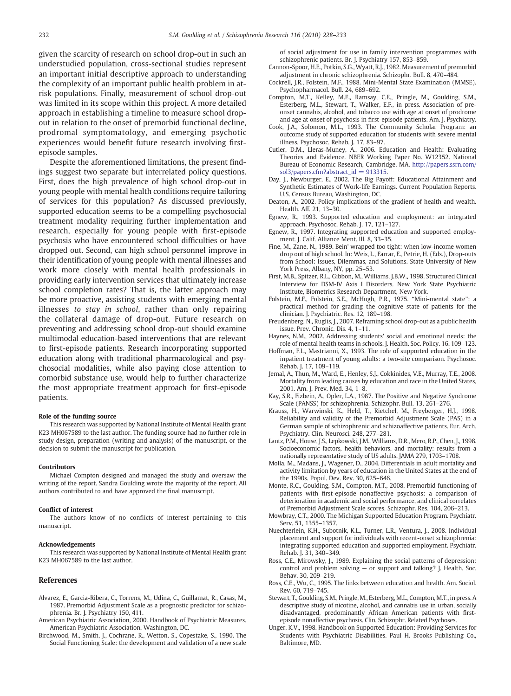<span id="page-4-0"></span>given the scarcity of research on school drop-out in such an understudied population, cross-sectional studies represent an important initial descriptive approach to understanding the complexity of an important public health problem in atrisk populations. Finally, measurement of school drop-out was limited in its scope within this project. A more detailed approach in establishing a timeline to measure school dropout in relation to the onset of premorbid functional decline, prodromal symptomatology, and emerging psychotic experiences would benefit future research involving firstepisode samples.

Despite the aforementioned limitations, the present findings suggest two separate but interrelated policy questions. First, does the high prevalence of high school drop-out in young people with mental health conditions require tailoring of services for this population? As discussed previously, supported education seems to be a compelling psychosocial treatment modality requiring further implementation and research, especially for young people with first-episode psychosis who have encountered school difficulties or have dropped out. Second, can high school personnel improve in their identification of young people with mental illnesses and work more closely with mental health professionals in providing early intervention services that ultimately increase school completion rates? That is, the latter approach may be more proactive, assisting students with emerging mental illnesses to stay in school, rather than only repairing the collateral damage of drop-out. Future research on preventing and addressing school drop-out should examine multimodal education-based interventions that are relevant to first-episode patients. Research incorporating supported education along with traditional pharmacological and psychosocial modalities, while also paying close attention to comorbid substance use, would help to further characterize the most appropriate treatment approach for first-episode patients.

#### Role of the funding source

This research was supported by National Institute of Mental Health grant K23 MH067589 to the last author. The funding source had no further role in study design, preparation (writing and analysis) of the manuscript, or the decision to submit the manuscript for publication.

#### Contributors

Michael Compton designed and managed the study and oversaw the writing of the report. Sandra Goulding wrote the majority of the report. All authors contributed to and have approved the final manuscript.

#### Conflict of interest

The authors know of no conflicts of interest pertaining to this manuscript.

#### Acknowledgements

This research was supported by National Institute of Mental Health grant K23 MH067589 to the last author.

### References

- Alvarez, E., Garcia-Ribera, C., Torrens, M., Udina, C., Guillamat, R., Casas, M., 1987. Premorbid Adjustment Scale as a prognostic predictor for schizophrenia. Br. J. Psychiatry 150, 411.
- American Psychiatric Association, 2000. Handbook of Psychiatric Measures. American Psychiatric Association, Washington, DC.
- Birchwood, M., Smith, J., Cochrane, R., Wetton, S., Copestake, S., 1990. The Social Functioning Scale: the development and validation of a new scale

of social adjustment for use in family intervention programmes with schizophrenic patients. Br. J. Psychiatry 157, 853–859.

- Cannon-Spoor, H.E., Potkin, S.G., Wyatt, R.J., 1982. Measurement of premorbid adjustment in chronic schizophrenia. Schizophr. Bull. 8, 470–484.
- Cockrell, J.R., Folstein, M.F., 1988. Mini-Mental State Examination (MMSE). Psychopharmacol. Bull. 24, 689–692.
- Compton, M.T., Kelley, M.E., Ramsay, C.E., Pringle, M., Goulding, S.M., Esterberg, M.L., Stewart, T., Walker, E.F., in press. Association of preonset cannabis, alcohol, and tobacco use with age at onset of prodrome and age at onset of psychosis in first-episode patients. Am. J. Psychiatry.
- Cook, J.A., Solomon, M.L., 1993. The Community Scholar Program: an outcome study of supported education for students with severe mental illness. Psychosoc. Rehab. J. 17, 83–97.
- Cutler, D.M., Lleras-Muney, A., 2006. Education and Health: Evaluating Theories and Evidence. NBER Working Paper No. W12352. National Bureau of Economic Research, Cambridge, MA. [http://papers.ssrn.com/](mailto:Michael.Compton@emory.edu) sol $3$ /papers.cfm?abstract\_id = 913315.
- Day, J., Newburger, E., 2002. The Big Payoff: Educational Attainment and Synthetic Estimates of Work-life Earnings. Current Population Reports. U.S. Census Bureau, Washington, DC.
- Deaton, A., 2002. Policy implications of the gradient of health and wealth. Health. Aff. 21, 13–30.
- Egnew, R., 1993. Supported education and employment: an integrated approach. Psychosoc. Rehab. J. 17, 121–127.
- Egnew, R., 1997. Integrating supported education and supported employment. J. Calif. Alliance Ment. Ill. 8, 33–35.
- Fine, M., Zane, N., 1989. Bein' wrapped too tight: when low-income women drop out of high school. In: Weis, L., Farrar, E., Petrie, H. (Eds.), Drop-outs from School: Issues, Dilemmas, and Solutions. State University of New York Press, Albany, NY, pp. 25–53.
- First, M.B., Spitzer, R.L., Gibbon, M., Williams, J.B.W., 1998. Structured Clinical Interview for DSM-IV Axis I Disorders. New York State Psychiatric Institute, Biometrics Research Department, New York.
- Folstein, M.F., Folstein, S.E., McHugh, P.R., 1975. "Mini-mental state": a practical method for grading the cognitive state of patients for the clinician. J. Psychiatric. Res. 12, 189–198.
- Freudenberg, N., Ruglis, J., 2007. Reframing school drop-out as a public health issue. Prev. Chronic. Dis. 4, 1–11.
- Haynes, N.M., 2002. Addressing students' social and emotional needs: the role of mental health teams in schools. J. Health. Soc. Policy. 16, 109–123.
- Hoffman, F.L., Mastrianni, X., 1993. The role of supported education in the inpatient treatment of young adults: a two-site comparison. Psychosoc. Rehab. J. 17, 109–119.
- Jemal, A., Thun, M., Ward, E., Henley, S.J., Cokkinides, V.E., Murray, T.E., 2008. Mortality from leading causes by education and race in the United States, 2001. Am. J. Prev. Med. 34, 1–8.
- Kay, S.R., Fizbein, A., Opler, L.A., 1987. The Positive and Negative Syndrome Scale (PANSS) for schizophrenia. Schizophr. Bull. 13, 261–276.
- Krauss, H., Warwinski, K., Held, T., Rietchel, M., Freyberger, H.J., 1998. Reliability and validity of the Premorbid Adjustment Scale (PAS) in a German sample of schizophrenic and schizoaffective patients. Eur. Arch. Psychiatry. Clin. Neurosci. 248, 277–281.
- Lantz, P.M., House, J.S., Lepkowski, J.M., Williams, D.R., Mero, R.P., Chen, J., 1998. Socioeconomic factors, health behaviors, and mortality: results from a nationally representative study of US adults. JAMA 279, 1703–1708.
- Molla, M., Madans, J., Wagener, D., 2004. Differentials in adult mortality and activity limitation by years of education in the United States at the end of the 1990s. Popul. Dev. Rev. 30, 625–646.
- Monte, R.C., Goulding, S.M., Compton, M.T., 2008. Premorbid functioning of patients with first-episode nonaffective psychosis: a comparison of deterioration in academic and social performance, and clinical correlates of Premorbid Adjustment Scale scores. Schizophr. Res. 104, 206–213.
- Mowbray, C.T., 2000. The Michigan Supported Education Program. Psychiatr. Serv. 51, 1355–1357.
- Nuechterlein, K.H., Subotnik, K.L., Turner, L.R., Ventura, J., 2008. Individual placement and support for individuals with recent-onset schizophrenia: integrating supported education and supported employment. Psychiatr. Rehab. J. 31, 340–349.
- Ross, C.E., Mirowsky, J., 1989. Explaining the social patterns of depression: control and problem solving — or support and talking? J. Health. Soc. Behav. 30, 209–219.
- Ross, C.E., Wu, C., 1995. The links between education and health. Am. Sociol. Rev. 60, 719–745.
- Stewart, T., Goulding, S.M., Pringle, M., Esterberg, M.L., Compton, M.T., in press. A descriptive study of nicotine, alcohol, and cannabis use in urban, socially disadvantaged, predominantly African American patients with firstepisode nonaffective psychosis. Clin. Schizophr. Related Psychoses.
- Unger, K.V., 1998. Handbook on Supported Education: Providing Services for Students with Psychiatric Disabilities. Paul H. Brooks Publishing Co., Baltimore, MD.